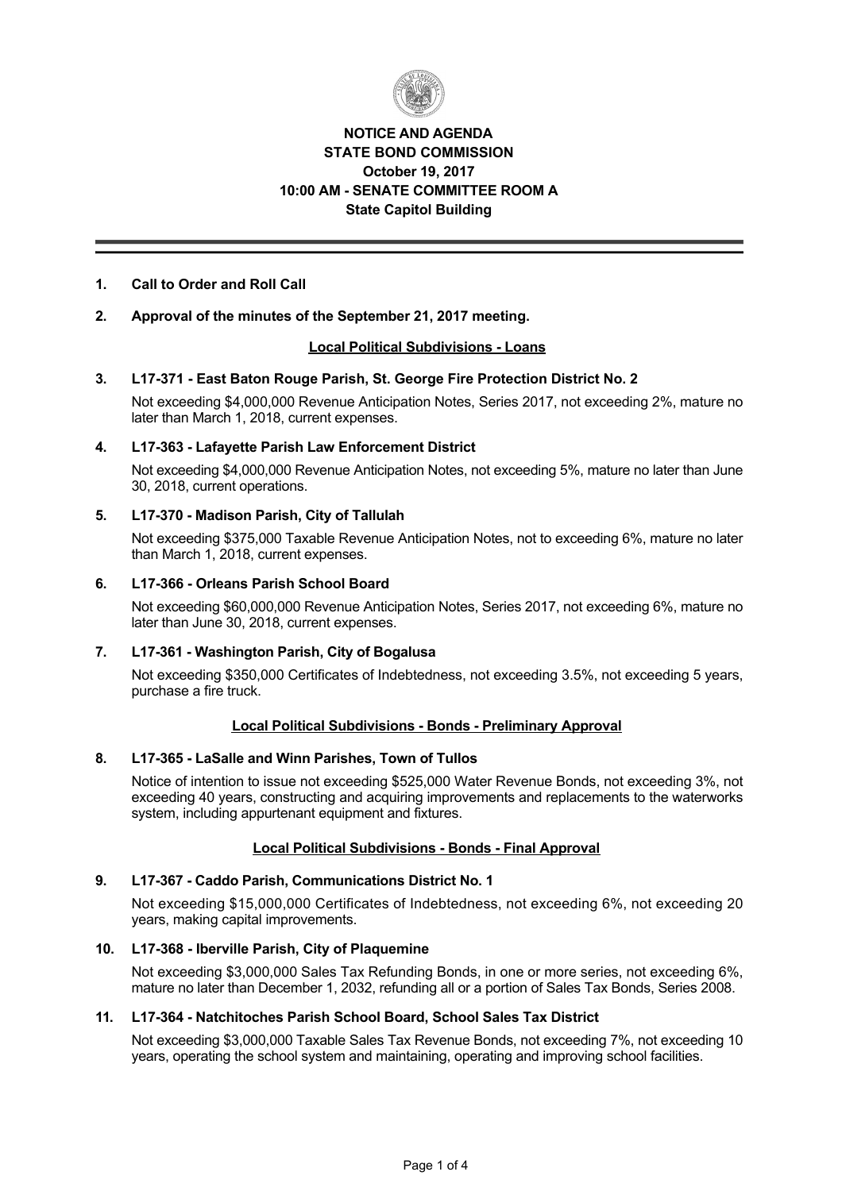

# **NOTICE AND AGENDA STATE BOND COMMISSION October 19, 2017 10:00 AM SENATE COMMITTEE ROOM A State Capitol Building**

## **1. Call to Order and Roll Call**

## **2. Approval of the minutes of the September 21, 2017 meeting.**

## **Local Political Subdivisions Loans**

## **3. L17371 East Baton Rouge Parish, St. George Fire Protection District No. 2**

Not exceeding \$4,000,000 Revenue Anticipation Notes, Series 2017, not exceeding 2%, mature no later than March 1, 2018, current expenses.

#### **4. L17363 Lafayette Parish Law Enforcement District**

Not exceeding \$4,000,000 Revenue Anticipation Notes, not exceeding 5%, mature no later than June 30, 2018, current operations.

## **5. L17370 Madison Parish, City of Tallulah**

Not exceeding \$375,000 Taxable Revenue Anticipation Notes, not to exceeding 6%, mature no later than March 1, 2018, current expenses.

#### **6. L17366 Orleans Parish School Board**

Not exceeding \$60,000,000 Revenue Anticipation Notes, Series 2017, not exceeding 6%, mature no later than June 30, 2018, current expenses.

## **7. L17361 Washington Parish, City of Bogalusa**

Not exceeding \$350,000 Certificates of Indebtedness, not exceeding 3.5%, not exceeding 5 years, purchase a fire truck.

## **Local Political Subdivisions - Bonds - Preliminary Approval**

## **8. L17365 LaSalle and Winn Parishes, Town of Tullos**

Notice of intention to issue not exceeding \$525,000 Water Revenue Bonds, not exceeding 3%, not exceeding 40 years, constructing and acquiring improvements and replacements to the waterworks system, including appurtenant equipment and fixtures.

## **Local Political Subdivisions - Bonds - Final Approval**

## **9. L17367 Caddo Parish, Communications District No. 1**

Not exceeding \$15,000,000 Certificates of Indebtedness, not exceeding 6%, not exceeding 20 years, making capital improvements.

## **10. L17368 Iberville Parish, City of Plaquemine**

Not exceeding \$3,000,000 Sales Tax Refunding Bonds, in one or more series, not exceeding 6%, mature no later than December 1, 2032, refunding all or a portion of Sales Tax Bonds, Series 2008.

#### **11. L17364 Natchitoches Parish School Board, School Sales Tax District**

Not exceeding \$3,000,000 Taxable Sales Tax Revenue Bonds, not exceeding 7%, not exceeding 10 years, operating the school system and maintaining, operating and improving school facilities.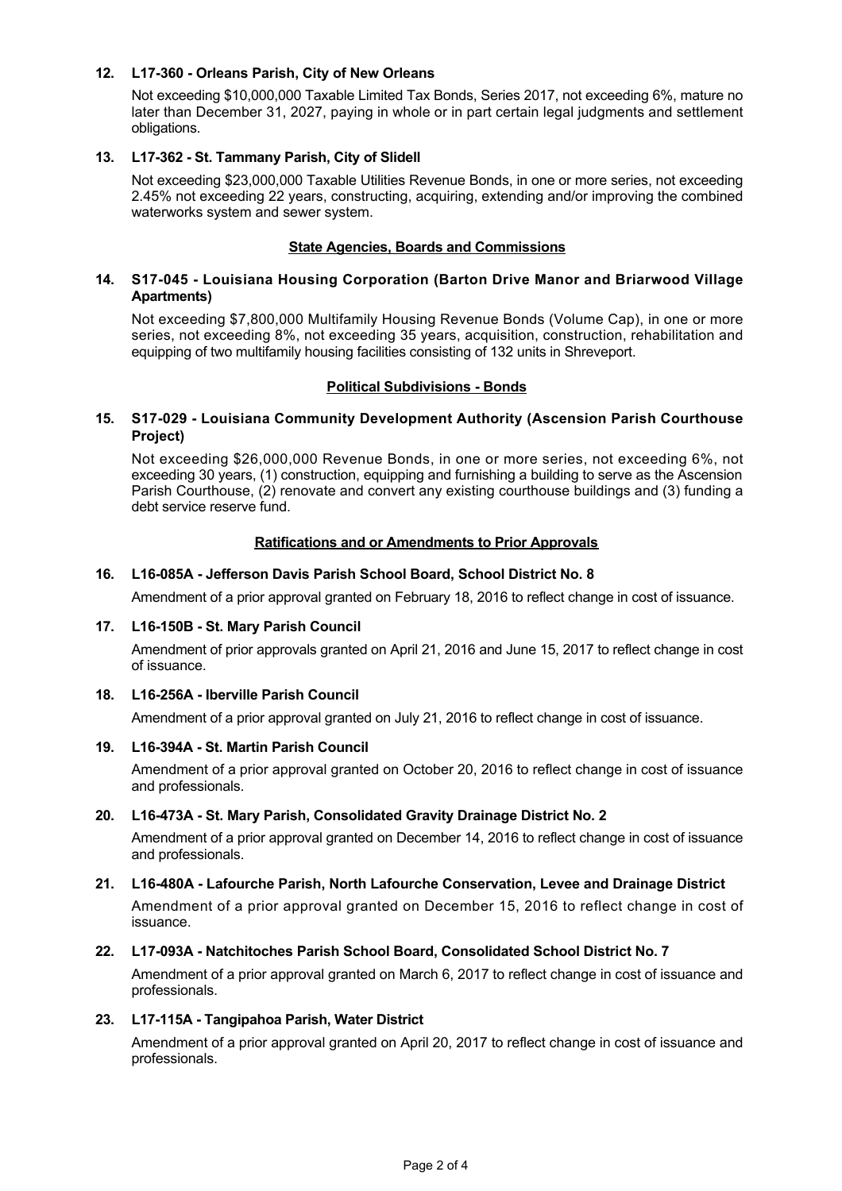## **12. L17360 Orleans Parish, City of New Orleans**

Not exceeding \$10,000,000 Taxable Limited Tax Bonds, Series 2017, not exceeding 6%, mature no later than December 31, 2027, paying in whole or in part certain legal judgments and settlement obligations.

## **13. L17362 St. Tammany Parish, City of Slidell**

Not exceeding \$23,000,000 Taxable Utilities Revenue Bonds, in one or more series, not exceeding 2.45% not exceeding 22 years, constructing, acquiring, extending and/or improving the combined waterworks system and sewer system.

#### **State Agencies, Boards and Commissions**

#### **14. S17045 Louisiana Housing Corporation (Barton Drive Manor and Briarwood Village Apartments)**

Not exceeding \$7,800,000 Multifamily Housing Revenue Bonds (Volume Cap), in one or more series, not exceeding 8%, not exceeding 35 years, acquisition, construction, rehabilitation and equipping of two multifamily housing facilities consisting of 132 units in Shreveport.

#### **Political Subdivisions - Bonds**

#### **15. S17029 Louisiana Community Development Authority (Ascension Parish Courthouse Project)**

Not exceeding \$26,000,000 Revenue Bonds, in one or more series, not exceeding 6%, not exceeding 30 years, (1) construction, equipping and furnishing a building to serve as the Ascension Parish Courthouse, (2) renovate and convert any existing courthouse buildings and (3) funding a debt service reserve fund.

## **Ratifications and or Amendments to Prior Approvals**

#### **16. L16085A Jefferson Davis Parish School Board, School District No. 8**

Amendment of a prior approval granted on February 18, 2016 to reflect change in cost of issuance.

#### 17. L16-150B - St. Mary Parish Council

Amendment of prior approvals granted on April 21, 2016 and June 15, 2017 to reflect change in cost of issuance.

#### **18. L16256A Iberville Parish Council**

Amendment of a prior approval granted on July 21, 2016 to reflect change in cost of issuance.

#### 19. L16-394A - St. Martin Parish Council

Amendment of a prior approval granted on October 20, 2016 to reflect change in cost of issuance and professionals.

## **20. L16473A St. Mary Parish, Consolidated Gravity Drainage District No. 2**

Amendment of a prior approval granted on December 14, 2016 to reflect change in cost of issuance and professionals.

## **21. L16480A Lafourche Parish, North Lafourche Conservation, Levee and Drainage District**

Amendment of a prior approval granted on December 15, 2016 to reflect change in cost of issuance.

#### **22. L17093A Natchitoches Parish School Board, Consolidated School District No. 7**

Amendment of a prior approval granted on March 6, 2017 to reflect change in cost of issuance and professionals.

#### **23. L17115A Tangipahoa Parish, Water District**

Amendment of a prior approval granted on April 20, 2017 to reflect change in cost of issuance and professionals.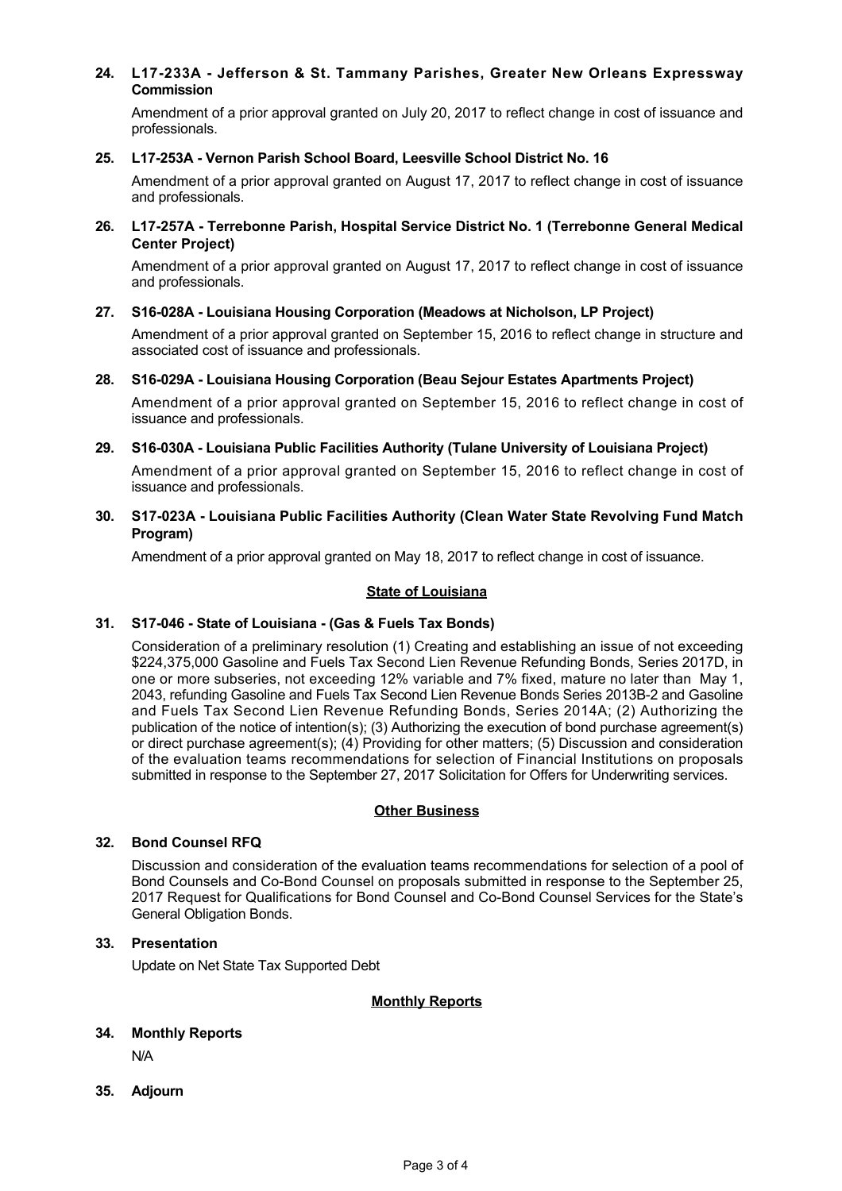# **24. L17233A Jefferson & St. Tammany Parishes, Greater New Orleans Expressway Commission**

Amendment of a prior approval granted on July 20, 2017 to reflect change in cost of issuance and professionals.

#### **25. L17253A Vernon Parish School Board, Leesville School District No. 16**

Amendment of a prior approval granted on August 17, 2017 to reflect change in cost of issuance and professionals.

**26. L17257A Terrebonne Parish, Hospital Service District No. 1 (Terrebonne General Medical Center Project)**

Amendment of a prior approval granted on August 17, 2017 to reflect change in cost of issuance and professionals.

**27. S16028A Louisiana Housing Corporation (Meadows at Nicholson, LP Project)**

Amendment of a prior approval granted on September 15, 2016 to reflect change in structure and associated cost of issuance and professionals.

#### **28. S16029A Louisiana Housing Corporation (Beau Sejour Estates Apartments Project)**

Amendment of a prior approval granted on September 15, 2016 to reflect change in cost of issuance and professionals.

**29. S16030A Louisiana Public Facilities Authority (Tulane University of Louisiana Project)**

Amendment of a prior approval granted on September 15, 2016 to reflect change in cost of issuance and professionals.

**30. S17023A Louisiana Public Facilities Authority (Clean Water State Revolving Fund Match Program)**

Amendment of a prior approval granted on May 18, 2017 to reflect change in cost of issuance.

#### **State of Louisiana**

## **31. S17046 State of Louisiana (Gas & Fuels Tax Bonds)**

Consideration of a preliminary resolution (1) Creating and establishing an issue of not exceeding \$224,375,000 Gasoline and Fuels Tax Second Lien Revenue Refunding Bonds, Series 2017D, in one or more subseries, not exceeding 12% variable and 7% fixed, mature no later than May 1, 2043, refunding Gasoline and Fuels Tax Second Lien Revenue Bonds Series 2013B-2 and Gasoline and Fuels Tax Second Lien Revenue Refunding Bonds, Series 2014A; (2) Authorizing the publication of the notice of intention(s); (3) Authorizing the execution of bond purchase agreement(s) or direct purchase agreement(s); (4) Providing for other matters; (5) Discussion and consideration of the evaluation teams recommendations for selection of Financial Institutions on proposals submitted in response to the September 27, 2017 Solicitation for Offers for Underwriting services.

## **Other Business**

#### **32. Bond Counsel RFQ**

Discussion and consideration of the evaluation teams recommendations for selection of a pool of Bond Counsels and Co-Bond Counsel on proposals submitted in response to the September 25, 2017 Request for Qualifications for Bond Counsel and Co-Bond Counsel Services for the State's General Obligation Bonds.

#### **33. Presentation**

Update on Net State Tax Supported Debt

## **Monthly Reports**

## **34. Monthly Reports**

N/A

**35. Adjourn**